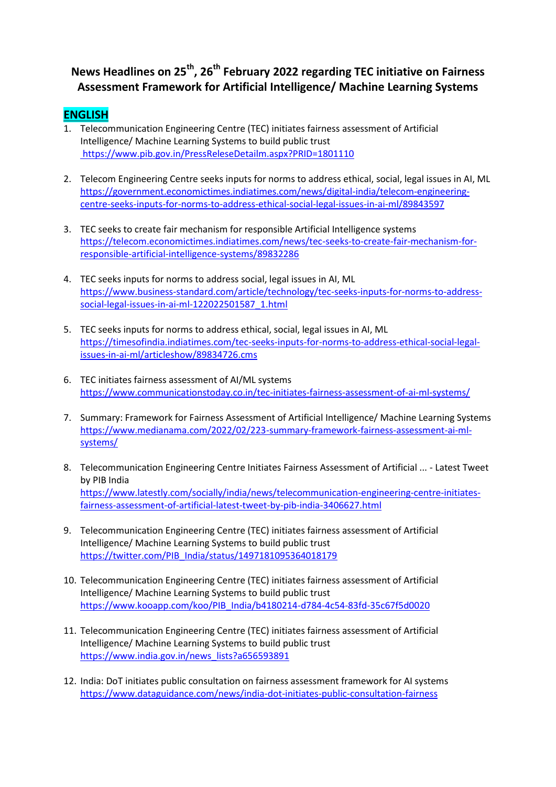# **News Headlines on 25th, 26th February 2022 regarding TEC initiative on Fairness Assessment Framework for Artificial Intelligence/ Machine Learning Systems**

#### **ENGLISH**

- 1. Telecommunication Engineering Centre (TEC) initiates fairness assessment of Artificial Intelligence/ Machine Learning Systems to build public trust <https://www.pib.gov.in/PressReleseDetailm.aspx?PRID=1801110>
- 2. Telecom Engineering Centre seeks inputs for norms to address ethical, social, legal issues in AI, ML [https://government.economictimes.indiatimes.com/news/digital-india/telecom-engineering](https://government.economictimes.indiatimes.com/news/digital-india/telecom-engineering-centre-seeks-inputs-for-norms-to-address-ethical-social-legal-issues-in-ai-ml/89843597)[centre-seeks-inputs-for-norms-to-address-ethical-social-legal-issues-in-ai-ml/89843597](https://government.economictimes.indiatimes.com/news/digital-india/telecom-engineering-centre-seeks-inputs-for-norms-to-address-ethical-social-legal-issues-in-ai-ml/89843597)
- 3. TEC seeks to create fair mechanism for responsible Artificial Intelligence systems [https://telecom.economictimes.indiatimes.com/news/tec-seeks-to-create-fair-mechanism-for](https://telecom.economictimes.indiatimes.com/news/tec-seeks-to-create-fair-mechanism-for-responsible-artificial-intelligence-systems/89832286)[responsible-artificial-intelligence-systems/89832286](https://telecom.economictimes.indiatimes.com/news/tec-seeks-to-create-fair-mechanism-for-responsible-artificial-intelligence-systems/89832286)
- 4. TEC seeks inputs for norms to address social, legal issues in AI, ML [https://www.business-standard.com/article/technology/tec-seeks-inputs-for-norms-to-address](https://www.business-standard.com/article/technology/tec-seeks-inputs-for-norms-to-address-social-legal-issues-in-ai-ml-122022501587_1.html)[social-legal-issues-in-ai-ml-122022501587\\_1.html](https://www.business-standard.com/article/technology/tec-seeks-inputs-for-norms-to-address-social-legal-issues-in-ai-ml-122022501587_1.html)
- 5. TEC seeks inputs for norms to address ethical, social, legal issues in AI, ML [https://timesofindia.indiatimes.com/tec-seeks-inputs-for-norms-to-address-ethical-social-legal](https://timesofindia.indiatimes.com/tec-seeks-inputs-for-norms-to-address-ethical-social-legal-issues-in-ai-ml/articleshow/89834726.cms)[issues-in-ai-ml/articleshow/89834726.cms](https://timesofindia.indiatimes.com/tec-seeks-inputs-for-norms-to-address-ethical-social-legal-issues-in-ai-ml/articleshow/89834726.cms)
- 6. TEC initiates fairness assessment of AI/ML systems <https://www.communicationstoday.co.in/tec-initiates-fairness-assessment-of-ai-ml-systems/>
- 7. Summary: Framework for Fairness Assessment of Artificial Intelligence/ Machine Learning Systems [https://www.medianama.com/2022/02/223-summary-framework-fairness-assessment-ai-ml](https://www.medianama.com/2022/02/223-summary-framework-fairness-assessment-ai-ml-systems/)[systems/](https://www.medianama.com/2022/02/223-summary-framework-fairness-assessment-ai-ml-systems/)
- 8. Telecommunication Engineering Centre Initiates Fairness Assessment of Artificial ... Latest Tweet by PIB India [https://www.latestly.com/socially/india/news/telecommunication-engineering-centre-initiates](https://www.latestly.com/socially/india/news/telecommunication-engineering-centre-initiates-fairness-assessment-of-artificial-latest-tweet-by-pib-india-3406627.html)[fairness-assessment-of-artificial-latest-tweet-by-pib-india-3406627.html](https://www.latestly.com/socially/india/news/telecommunication-engineering-centre-initiates-fairness-assessment-of-artificial-latest-tweet-by-pib-india-3406627.html)
- 9. Telecommunication Engineering Centre (TEC) initiates fairness assessment of Artificial Intelligence/ Machine Learning Systems to build public trust [https://twitter.com/PIB\\_India/status/1497181095364018179](https://twitter.com/PIB_India/status/1497181095364018179)
- 10. Telecommunication Engineering Centre (TEC) initiates fairness assessment of Artificial Intelligence/ Machine Learning Systems to build public trust [https://www.kooapp.com/koo/PIB\\_India/b4180214-d784-4c54-83fd-35c67f5d0020](https://www.kooapp.com/koo/PIB_India/b4180214-d784-4c54-83fd-35c67f5d0020)
- 11. Telecommunication Engineering Centre (TEC) initiates fairness assessment of Artificial Intelligence/ Machine Learning Systems to build public trust [https://www.india.gov.in/news\\_lists?a656593891](https://www.india.gov.in/news_lists?a656593891)
- 12. India: DoT initiates public consultation on fairness assessment framework for AI systems <https://www.dataguidance.com/news/india-dot-initiates-public-consultation-fairness>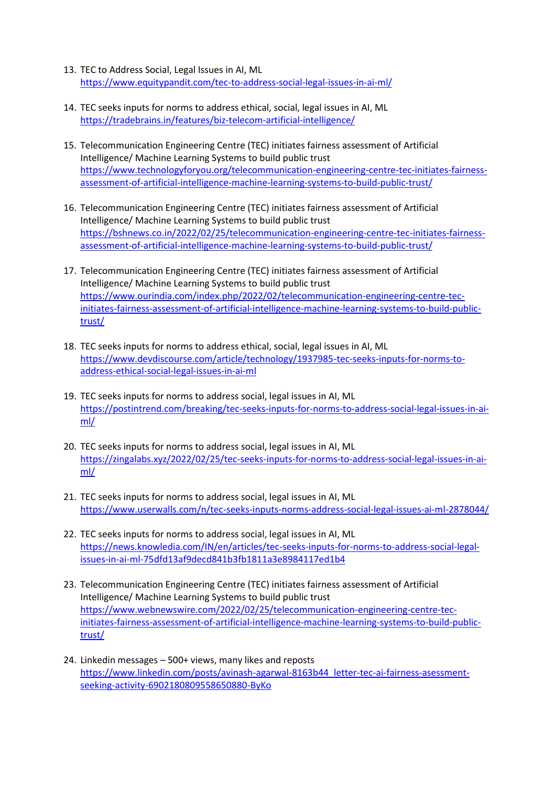- 13. TEC to Address Social, Legal Issues in AI, ML <https://www.equitypandit.com/tec-to-address-social-legal-issues-in-ai-ml/>
- 14. TEC seeks inputs for norms to address ethical, social, legal issues in AI, ML <https://tradebrains.in/features/biz-telecom-artificial-intelligence/>
- 15. Telecommunication Engineering Centre (TEC) initiates fairness assessment of Artificial Intelligence/ Machine Learning Systems to build public trust [https://www.technologyforyou.org/telecommunication-engineering-centre-tec-initiates-fairness](https://www.technologyforyou.org/telecommunication-engineering-centre-tec-initiates-fairness-assessment-of-artificial-intelligence-machine-learning-systems-to-build-public-trust/)[assessment-of-artificial-intelligence-machine-learning-systems-to-build-public-trust/](https://www.technologyforyou.org/telecommunication-engineering-centre-tec-initiates-fairness-assessment-of-artificial-intelligence-machine-learning-systems-to-build-public-trust/)
- 16. Telecommunication Engineering Centre (TEC) initiates fairness assessment of Artificial Intelligence/ Machine Learning Systems to build public trust [https://bshnews.co.in/2022/02/25/telecommunication-engineering-centre-tec-initiates-fairness](https://bshnews.co.in/2022/02/25/telecommunication-engineering-centre-tec-initiates-fairness-assessment-of-artificial-intelligence-machine-learning-systems-to-build-public-trust/)[assessment-of-artificial-intelligence-machine-learning-systems-to-build-public-trust/](https://bshnews.co.in/2022/02/25/telecommunication-engineering-centre-tec-initiates-fairness-assessment-of-artificial-intelligence-machine-learning-systems-to-build-public-trust/)
- 17. Telecommunication Engineering Centre (TEC) initiates fairness assessment of Artificial Intelligence/ Machine Learning Systems to build public trust [https://www.ourindia.com/index.php/2022/02/telecommunication-engineering-centre-tec](https://www.ourindia.com/index.php/2022/02/telecommunication-engineering-centre-tec-initiates-fairness-assessment-of-artificial-intelligence-machine-learning-systems-to-build-public-trust/)[initiates-fairness-assessment-of-artificial-intelligence-machine-learning-systems-to-build-public](https://www.ourindia.com/index.php/2022/02/telecommunication-engineering-centre-tec-initiates-fairness-assessment-of-artificial-intelligence-machine-learning-systems-to-build-public-trust/)[trust/](https://www.ourindia.com/index.php/2022/02/telecommunication-engineering-centre-tec-initiates-fairness-assessment-of-artificial-intelligence-machine-learning-systems-to-build-public-trust/)
- 18. TEC seeks inputs for norms to address ethical, social, legal issues in AI, ML [https://www.devdiscourse.com/article/technology/1937985-tec-seeks-inputs-for-norms-to](https://www.devdiscourse.com/article/technology/1937985-tec-seeks-inputs-for-norms-to-address-ethical-social-legal-issues-in-ai-ml)[address-ethical-social-legal-issues-in-ai-ml](https://www.devdiscourse.com/article/technology/1937985-tec-seeks-inputs-for-norms-to-address-ethical-social-legal-issues-in-ai-ml)
- 19. TEC seeks inputs for norms to address social, legal issues in AI, ML [https://postintrend.com/breaking/tec-seeks-inputs-for-norms-to-address-social-legal-issues-in-ai](https://postintrend.com/breaking/tec-seeks-inputs-for-norms-to-address-social-legal-issues-in-ai-ml/)[ml/](https://postintrend.com/breaking/tec-seeks-inputs-for-norms-to-address-social-legal-issues-in-ai-ml/)
- 20. TEC seeks inputs for norms to address social, legal issues in AI, ML [https://zingalabs.xyz/2022/02/25/tec-seeks-inputs-for-norms-to-address-social-legal-issues-in-ai](https://zingalabs.xyz/2022/02/25/tec-seeks-inputs-for-norms-to-address-social-legal-issues-in-ai-ml/)[ml/](https://zingalabs.xyz/2022/02/25/tec-seeks-inputs-for-norms-to-address-social-legal-issues-in-ai-ml/)
- 21. TEC seeks inputs for norms to address social, legal issues in AI, ML <https://www.userwalls.com/n/tec-seeks-inputs-norms-address-social-legal-issues-ai-ml-2878044/>
- 22. TEC seeks inputs for norms to address social, legal issues in AI, ML [https://news.knowledia.com/IN/en/articles/tec-seeks-inputs-for-norms-to-address-social-legal](https://news.knowledia.com/IN/en/articles/tec-seeks-inputs-for-norms-to-address-social-legal-issues-in-ai-ml-75dfd13af9decd841b3fb1811a3e8984117ed1b4)[issues-in-ai-ml-75dfd13af9decd841b3fb1811a3e8984117ed1b4](https://news.knowledia.com/IN/en/articles/tec-seeks-inputs-for-norms-to-address-social-legal-issues-in-ai-ml-75dfd13af9decd841b3fb1811a3e8984117ed1b4)
- 23. Telecommunication Engineering Centre (TEC) initiates fairness assessment of Artificial Intelligence/ Machine Learning Systems to build public trust [https://www.webnewswire.com/2022/02/25/telecommunication-engineering-centre-tec](https://www.webnewswire.com/2022/02/25/telecommunication-engineering-centre-tec-initiates-fairness-assessment-of-artificial-intelligence-machine-learning-systems-to-build-public-trust/)[initiates-fairness-assessment-of-artificial-intelligence-machine-learning-systems-to-build-public](https://www.webnewswire.com/2022/02/25/telecommunication-engineering-centre-tec-initiates-fairness-assessment-of-artificial-intelligence-machine-learning-systems-to-build-public-trust/)[trust/](https://www.webnewswire.com/2022/02/25/telecommunication-engineering-centre-tec-initiates-fairness-assessment-of-artificial-intelligence-machine-learning-systems-to-build-public-trust/)
- 24. Linkedin messages 500+ views, many likes and reposts [https://www.linkedin.com/posts/avinash-agarwal-8163b44\\_letter-tec-ai-fairness-asessment](https://www.linkedin.com/posts/avinash-agarwal-8163b44_letter-tec-ai-fairness-asessment-seeking-activity-6902180809558650880-ByKo)[seeking-activity-6902180809558650880-ByKo](https://www.linkedin.com/posts/avinash-agarwal-8163b44_letter-tec-ai-fairness-asessment-seeking-activity-6902180809558650880-ByKo)